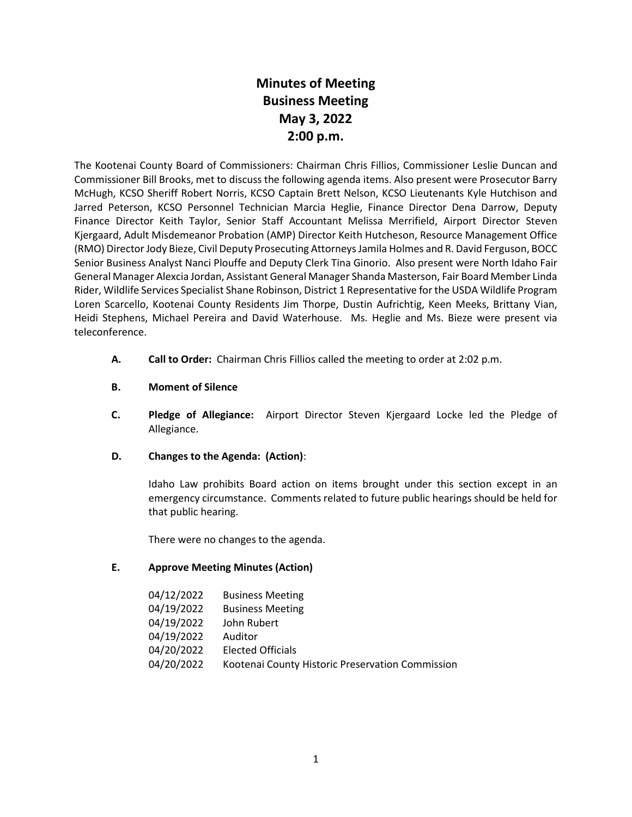# **Minutes of Meeting Business Meeting May 3, 2022 2:00 p.m.**

The Kootenai County Board of Commissioners: Chairman Chris Fillios, Commissioner Leslie Duncan and Commissioner Bill Brooks, met to discuss the following agenda items. Also present were Prosecutor Barry McHugh, KCSO Sheriff Robert Norris, KCSO Captain Brett Nelson, KCSO Lieutenants Kyle Hutchison and Jarred Peterson, KCSO Personnel Technician Marcia Heglie, Finance Director Dena Darrow, Deputy Finance Director Keith Taylor, Senior Staff Accountant Melissa Merrifield, Airport Director Steven Kjergaard, Adult Misdemeanor Probation (AMP) Director Keith Hutcheson, Resource Management Office (RMO) Director Jody Bieze, Civil Deputy Prosecuting Attorneys Jamila Holmes and R. David Ferguson, BOCC Senior Business Analyst Nanci Plouffe and Deputy Clerk Tina Ginorio. Also present were North Idaho Fair General Manager Alexcia Jordan, Assistant General Manager Shanda Masterson, Fair Board Member Linda Rider, Wildlife Services Specialist Shane Robinson, District 1 Representative for the USDA Wildlife Program Loren Scarcello, Kootenai County Residents Jim Thorpe, Dustin Aufrichtig, Keen Meeks, Brittany Vian, Heidi Stephens, Michael Pereira and David Waterhouse. Ms. Heglie and Ms. Bieze were present via teleconference.

- **A. Call to Order:** Chairman Chris Fillios called the meeting to order at 2:02 p.m.
- **B. Moment of Silence**
- **C. Pledge of Allegiance:** Airport Director Steven Kjergaard Locke led the Pledge of Allegiance.
- **D. Changes to the Agenda: (Action)**:

Idaho Law prohibits Board action on items brought under this section except in an emergency circumstance. Comments related to future public hearings should be held for that public hearing.

There were no changes to the agenda.

## **E. Approve Meeting Minutes (Action)**

| 04/12/2022 | <b>Business Meeting</b>                          |
|------------|--------------------------------------------------|
| 04/19/2022 | <b>Business Meeting</b>                          |
| 04/19/2022 | John Rubert                                      |
| 04/19/2022 | Auditor                                          |
| 04/20/2022 | <b>Elected Officials</b>                         |
| 04/20/2022 | Kootenai County Historic Preservation Commission |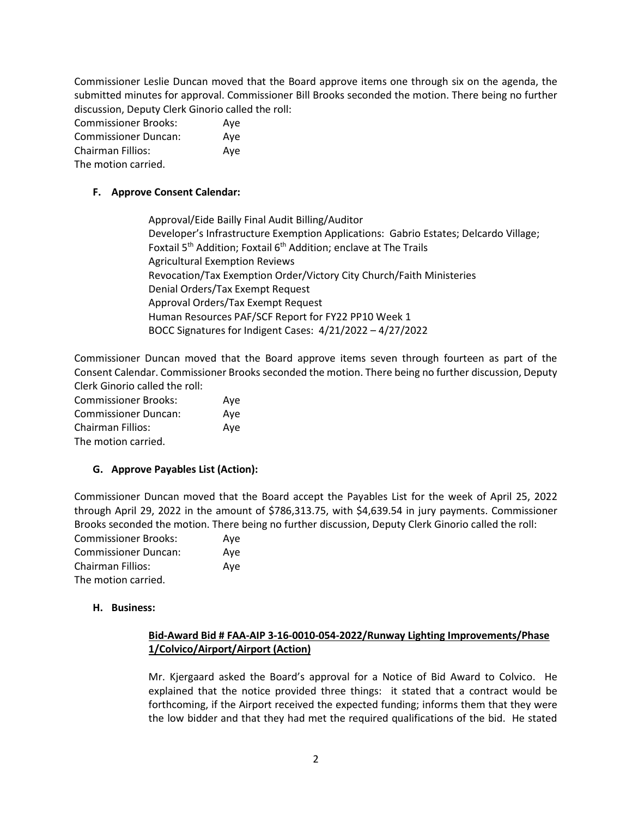Commissioner Leslie Duncan moved that the Board approve items one through six on the agenda, the submitted minutes for approval. Commissioner Bill Brooks seconded the motion. There being no further discussion, Deputy Clerk Ginorio called the roll:

| <b>Commissioner Brooks:</b> | Aye |
|-----------------------------|-----|
| <b>Commissioner Duncan:</b> | Ave |
| Chairman Fillios:           | Ave |
| The motion carried.         |     |

## **F. Approve Consent Calendar:**

Approval/Eide Bailly Final Audit Billing/Auditor Developer's Infrastructure Exemption Applications: Gabrio Estates; Delcardo Village; Foxtail  $5<sup>th</sup>$  Addition; Foxtail  $6<sup>th</sup>$  Addition; enclave at The Trails Agricultural Exemption Reviews Revocation/Tax Exemption Order/Victory City Church/Faith Ministeries Denial Orders/Tax Exempt Request Approval Orders/Tax Exempt Request Human Resources PAF/SCF Report for FY22 PP10 Week 1 BOCC Signatures for Indigent Cases: 4/21/2022 – 4/27/2022

Commissioner Duncan moved that the Board approve items seven through fourteen as part of the Consent Calendar. Commissioner Brooks seconded the motion. There being no further discussion, Deputy Clerk Ginorio called the roll:

| <b>Commissioner Brooks:</b> | Ave |
|-----------------------------|-----|
| <b>Commissioner Duncan:</b> | Ave |
| <b>Chairman Fillios:</b>    | Aye |
| The motion carried.         |     |

## **G. Approve Payables List (Action):**

Commissioner Duncan moved that the Board accept the Payables List for the week of April 25, 2022 through April 29, 2022 in the amount of \$786,313.75, with \$4,639.54 in jury payments. Commissioner Brooks seconded the motion. There being no further discussion, Deputy Clerk Ginorio called the roll:

| <b>Commissioner Brooks:</b> | Aye |
|-----------------------------|-----|
| <b>Commissioner Duncan:</b> | Ave |
| <b>Chairman Fillios:</b>    | Ave |
| The motion carried.         |     |

## **H. Business:**

## **Bid-Award Bid # FAA-AIP 3-16-0010-054-2022/Runway Lighting Improvements/Phase 1/Colvico/Airport/Airport (Action)**

Mr. Kjergaard asked the Board's approval for a Notice of Bid Award to Colvico. He explained that the notice provided three things: it stated that a contract would be forthcoming, if the Airport received the expected funding; informs them that they were the low bidder and that they had met the required qualifications of the bid. He stated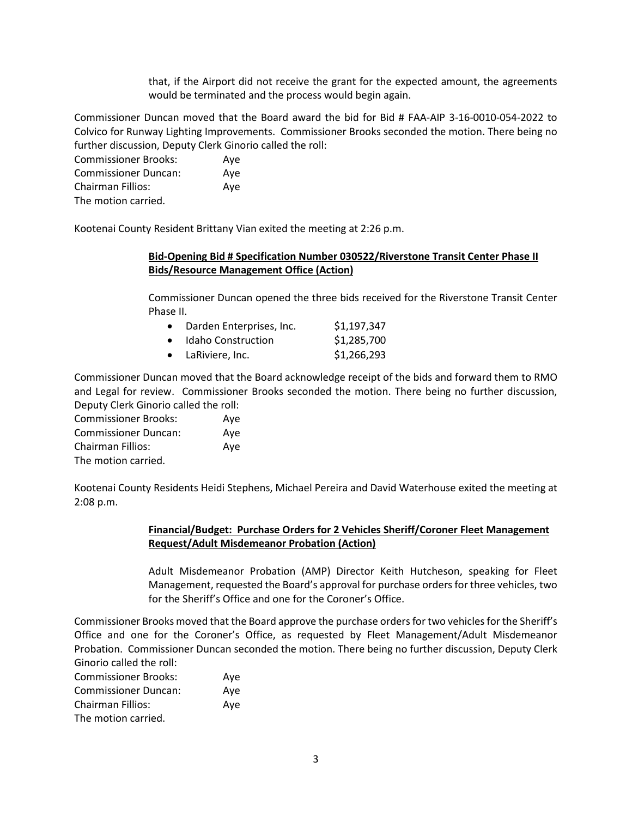that, if the Airport did not receive the grant for the expected amount, the agreements would be terminated and the process would begin again.

Commissioner Duncan moved that the Board award the bid for Bid # FAA-AIP 3-16-0010-054-2022 to Colvico for Runway Lighting Improvements. Commissioner Brooks seconded the motion. There being no further discussion, Deputy Clerk Ginorio called the roll:

Commissioner Brooks: Aye Commissioner Duncan: Aye Chairman Fillios: Aye The motion carried.

Kootenai County Resident Brittany Vian exited the meeting at 2:26 p.m.

## **Bid-Opening Bid # Specification Number 030522/Riverstone Transit Center Phase II Bids/Resource Management Office (Action)**

Commissioner Duncan opened the three bids received for the Riverstone Transit Center Phase II.

| $\bullet$ | Darden Enterprises, Inc.  | \$1,197,347 |
|-----------|---------------------------|-------------|
|           | • Idaho Construction      | \$1,285,700 |
|           | $\bullet$ LaRiviere, Inc. | \$1,266,293 |

Commissioner Duncan moved that the Board acknowledge receipt of the bids and forward them to RMO and Legal for review. Commissioner Brooks seconded the motion. There being no further discussion, Deputy Clerk Ginorio called the roll:

Commissioner Brooks: Aye Commissioner Duncan: Aye Chairman Fillios: Aye The motion carried.

Kootenai County Residents Heidi Stephens, Michael Pereira and David Waterhouse exited the meeting at 2:08 p.m.

## **Financial/Budget: Purchase Orders for 2 Vehicles Sheriff/Coroner Fleet Management Request/Adult Misdemeanor Probation (Action)**

Adult Misdemeanor Probation (AMP) Director Keith Hutcheson, speaking for Fleet Management, requested the Board's approval for purchase orders for three vehicles, two for the Sheriff's Office and one for the Coroner's Office.

Commissioner Brooks moved that the Board approve the purchase orders for two vehicles for the Sheriff's Office and one for the Coroner's Office, as requested by Fleet Management/Adult Misdemeanor Probation. Commissioner Duncan seconded the motion. There being no further discussion, Deputy Clerk Ginorio called the roll:

| <b>Commissioner Brooks:</b> | Ave |
|-----------------------------|-----|
| <b>Commissioner Duncan:</b> | Ave |
| Chairman Fillios:           | Ave |
| The motion carried.         |     |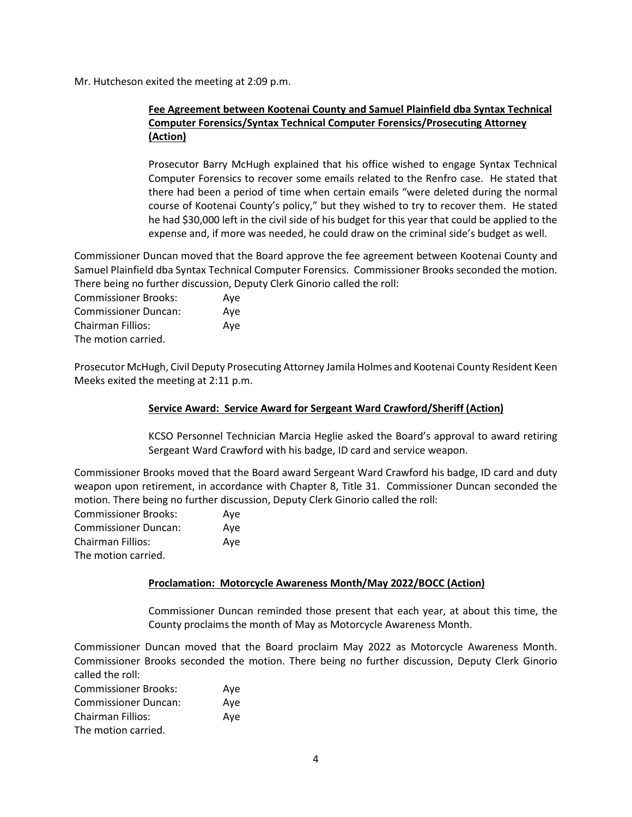Mr. Hutcheson exited the meeting at 2:09 p.m.

## **Fee Agreement between Kootenai County and Samuel Plainfield dba Syntax Technical Computer Forensics/Syntax Technical Computer Forensics/Prosecuting Attorney (Action)**

Prosecutor Barry McHugh explained that his office wished to engage Syntax Technical Computer Forensics to recover some emails related to the Renfro case. He stated that there had been a period of time when certain emails "were deleted during the normal course of Kootenai County's policy," but they wished to try to recover them. He stated he had \$30,000 left in the civil side of his budget for this year that could be applied to the expense and, if more was needed, he could draw on the criminal side's budget as well.

Commissioner Duncan moved that the Board approve the fee agreement between Kootenai County and Samuel Plainfield dba Syntax Technical Computer Forensics. Commissioner Brooks seconded the motion. There being no further discussion, Deputy Clerk Ginorio called the roll:

Commissioner Brooks: Aye Commissioner Duncan: Aye Chairman Fillios: Aye The motion carried.

Prosecutor McHugh, Civil Deputy Prosecuting Attorney Jamila Holmes and Kootenai County Resident Keen Meeks exited the meeting at 2:11 p.m.

## **Service Award: Service Award for Sergeant Ward Crawford/Sheriff (Action)**

KCSO Personnel Technician Marcia Heglie asked the Board's approval to award retiring Sergeant Ward Crawford with his badge, ID card and service weapon.

Commissioner Brooks moved that the Board award Sergeant Ward Crawford his badge, ID card and duty weapon upon retirement, in accordance with Chapter 8, Title 31. Commissioner Duncan seconded the motion. There being no further discussion, Deputy Clerk Ginorio called the roll:

| <b>Commissioner Brooks:</b> | Aye |
|-----------------------------|-----|
| <b>Commissioner Duncan:</b> | Ave |
| Chairman Fillios:           | Ave |
| The motion carried.         |     |

## **Proclamation: Motorcycle Awareness Month/May 2022/BOCC (Action)**

Commissioner Duncan reminded those present that each year, at about this time, the County proclaims the month of May as Motorcycle Awareness Month.

Commissioner Duncan moved that the Board proclaim May 2022 as Motorcycle Awareness Month. Commissioner Brooks seconded the motion. There being no further discussion, Deputy Clerk Ginorio called the roll:

Commissioner Brooks: Aye Commissioner Duncan: Aye Chairman Fillios: Aye The motion carried.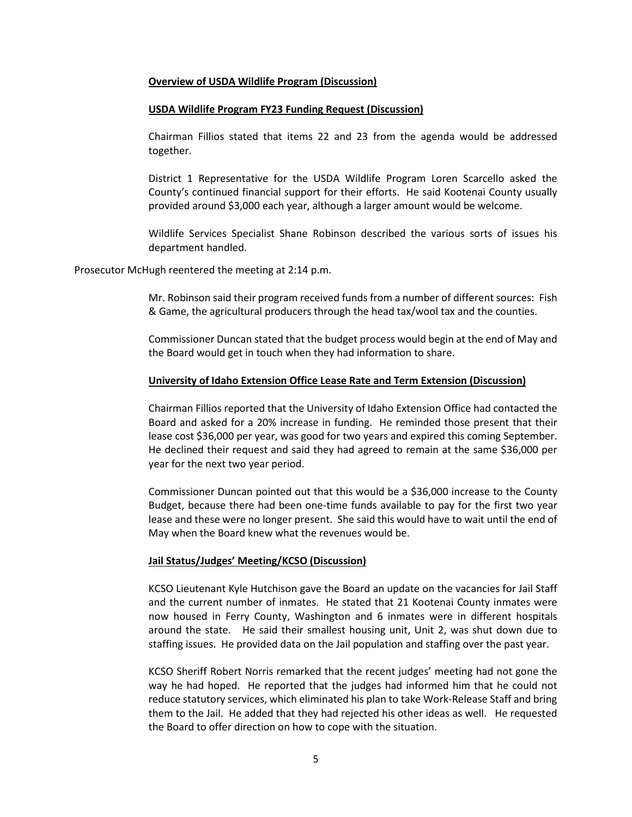#### **Overview of USDA Wildlife Program (Discussion)**

#### **USDA Wildlife Program FY23 Funding Request (Discussion)**

Chairman Fillios stated that items 22 and 23 from the agenda would be addressed together.

District 1 Representative for the USDA Wildlife Program Loren Scarcello asked the County's continued financial support for their efforts. He said Kootenai County usually provided around \$3,000 each year, although a larger amount would be welcome.

Wildlife Services Specialist Shane Robinson described the various sorts of issues his department handled.

Prosecutor McHugh reentered the meeting at 2:14 p.m.

Mr. Robinson said their program received funds from a number of different sources: Fish & Game, the agricultural producers through the head tax/wool tax and the counties.

Commissioner Duncan stated that the budget process would begin at the end of May and the Board would get in touch when they had information to share.

#### **University of Idaho Extension Office Lease Rate and Term Extension (Discussion)**

Chairman Fillios reported that the University of Idaho Extension Office had contacted the Board and asked for a 20% increase in funding. He reminded those present that their lease cost \$36,000 per year, was good for two years and expired this coming September. He declined their request and said they had agreed to remain at the same \$36,000 per year for the next two year period.

Commissioner Duncan pointed out that this would be a \$36,000 increase to the County Budget, because there had been one-time funds available to pay for the first two year lease and these were no longer present. She said this would have to wait until the end of May when the Board knew what the revenues would be.

#### **Jail Status/Judges' Meeting/KCSO (Discussion)**

KCSO Lieutenant Kyle Hutchison gave the Board an update on the vacancies for Jail Staff and the current number of inmates. He stated that 21 Kootenai County inmates were now housed in Ferry County, Washington and 6 inmates were in different hospitals around the state. He said their smallest housing unit, Unit 2, was shut down due to staffing issues. He provided data on the Jail population and staffing over the past year.

KCSO Sheriff Robert Norris remarked that the recent judges' meeting had not gone the way he had hoped. He reported that the judges had informed him that he could not reduce statutory services, which eliminated his plan to take Work-Release Staff and bring them to the Jail. He added that they had rejected his other ideas as well. He requested the Board to offer direction on how to cope with the situation.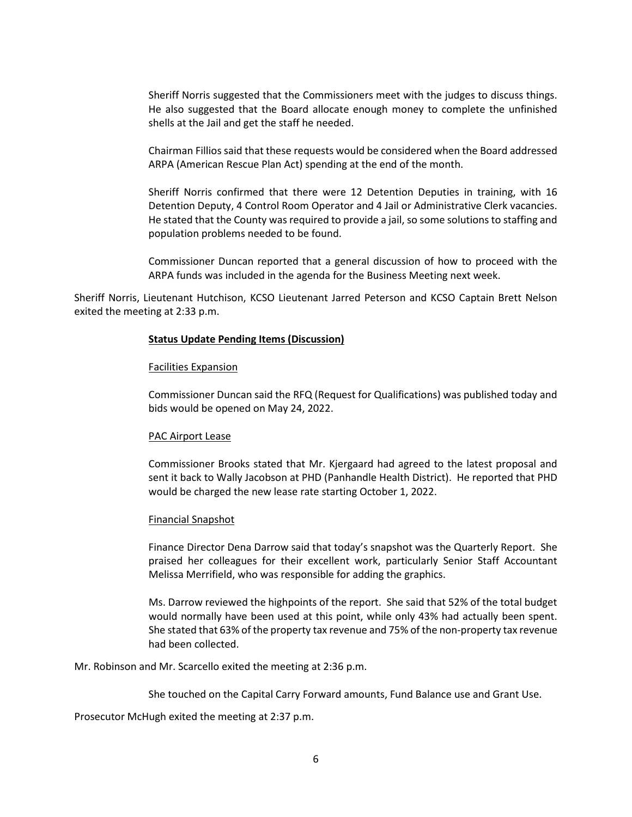Sheriff Norris suggested that the Commissioners meet with the judges to discuss things. He also suggested that the Board allocate enough money to complete the unfinished shells at the Jail and get the staff he needed.

Chairman Fillios said that these requests would be considered when the Board addressed ARPA (American Rescue Plan Act) spending at the end of the month.

Sheriff Norris confirmed that there were 12 Detention Deputies in training, with 16 Detention Deputy, 4 Control Room Operator and 4 Jail or Administrative Clerk vacancies. He stated that the County was required to provide a jail, so some solutions to staffing and population problems needed to be found.

Commissioner Duncan reported that a general discussion of how to proceed with the ARPA funds was included in the agenda for the Business Meeting next week.

Sheriff Norris, Lieutenant Hutchison, KCSO Lieutenant Jarred Peterson and KCSO Captain Brett Nelson exited the meeting at 2:33 p.m.

#### **Status Update Pending Items (Discussion)**

#### Facilities Expansion

Commissioner Duncan said the RFQ (Request for Qualifications) was published today and bids would be opened on May 24, 2022.

#### PAC Airport Lease

Commissioner Brooks stated that Mr. Kjergaard had agreed to the latest proposal and sent it back to Wally Jacobson at PHD (Panhandle Health District). He reported that PHD would be charged the new lease rate starting October 1, 2022.

#### Financial Snapshot

Finance Director Dena Darrow said that today's snapshot was the Quarterly Report. She praised her colleagues for their excellent work, particularly Senior Staff Accountant Melissa Merrifield, who was responsible for adding the graphics.

Ms. Darrow reviewed the highpoints of the report. She said that 52% of the total budget would normally have been used at this point, while only 43% had actually been spent. She stated that 63% of the property tax revenue and 75% of the non-property tax revenue had been collected.

Mr. Robinson and Mr. Scarcello exited the meeting at 2:36 p.m.

She touched on the Capital Carry Forward amounts, Fund Balance use and Grant Use.

Prosecutor McHugh exited the meeting at 2:37 p.m.